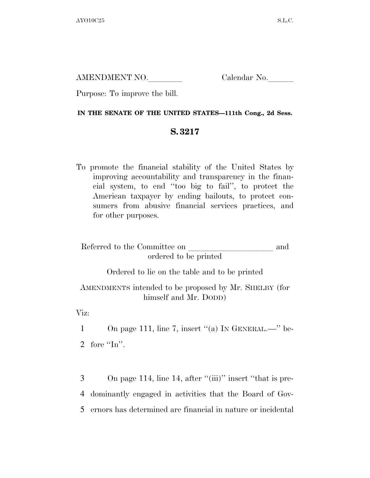AMENDMENT NO. Calendar No.

Purpose: To improve the bill.

## **IN THE SENATE OF THE UNITED STATES—111th Cong., 2d Sess.**

## **S. 3217**

To promote the financial stability of the United States by improving accountability and transparency in the financial system, to end ''too big to fail'', to protect the American taxpayer by ending bailouts, to protect consumers from abusive financial services practices, and for other purposes.

| Referred to the Committee on | and |
|------------------------------|-----|
| ordered to be printed        |     |

Ordered to lie on the table and to be printed

AMENDMENTS intended to be proposed by Mr. SHELBY (for himself and Mr. DODD)

Viz:

1 On page 111, line 7, insert "(a) IN GENERAL.—" be-

2 fore "In".

3 On page 114, line 14, after "(iii)" insert "that is pre-4 dominantly engaged in activities that the Board of Gov-5 ernors has determined are financial in nature or incidental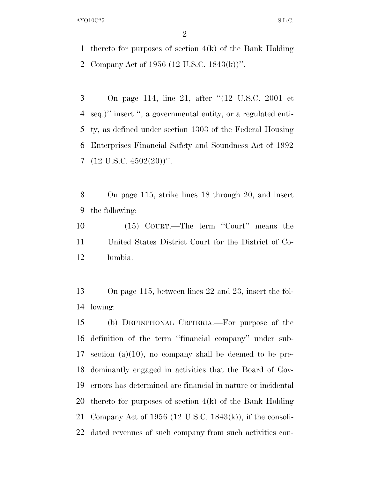thereto for purposes of section 4(k) of the Bank Holding Company Act of 1956 (12 U.S.C. 1843(k))''.

 On page 114, line 21, after ''(12 U.S.C. 2001 et seq.)'' insert '', a governmental entity, or a regulated enti- ty, as defined under section 1303 of the Federal Housing Enterprises Financial Safety and Soundness Act of 1992  $7 \quad (12 \text{ U.S.C. } 4502(20))$ ".

 On page 115, strike lines 18 through 20, and insert the following:

 (15) COURT.—The term ''Court'' means the United States District Court for the District of Co-lumbia.

 On page 115, between lines 22 and 23, insert the fol-lowing:

 (b) DEFINITIONAL CRITERIA.—For purpose of the definition of the term ''financial company'' under sub- section (a)(10), no company shall be deemed to be pre- dominantly engaged in activities that the Board of Gov- ernors has determined are financial in nature or incidental thereto for purposes of section 4(k) of the Bank Holding Company Act of 1956 (12 U.S.C. 1843(k)), if the consoli-dated revenues of such company from such activities con-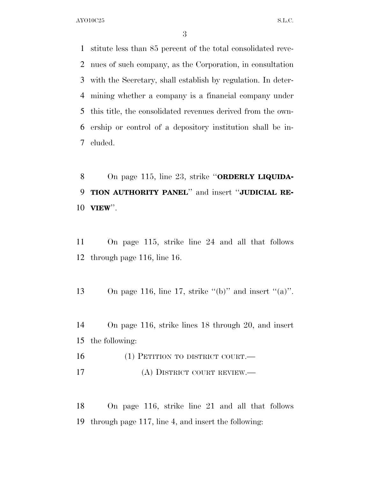stitute less than 85 percent of the total consolidated reve- nues of such company, as the Corporation, in consultation with the Secretary, shall establish by regulation. In deter- mining whether a company is a financial company under this title, the consolidated revenues derived from the own- ership or control of a depository institution shall be in-cluded.

 On page 115, line 23, strike ''**ORDERLY LIQUIDA- TION AUTHORITY PANEL**'' and insert ''**JUDICIAL RE-VIEW**''.

 On page 115, strike line 24 and all that follows through page 116, line 16.

13 On page 116, line 17, strike "(b)" and insert "(a)".

 On page 116, strike lines 18 through 20, and insert the following:

16 (1) PETITION TO DISTRICT COURT.— (A) DISTRICT COURT REVIEW.—

 On page 116, strike line 21 and all that follows through page 117, line 4, and insert the following: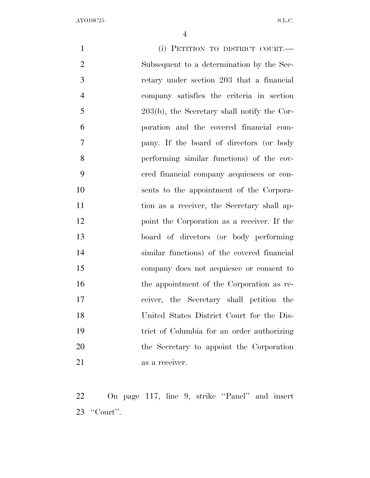(i) PETITION TO DISTRICT COURT.— Subsequent to a determination by the Sec- retary under section 203 that a financial company satisfies the criteria in section 203(b), the Secretary shall notify the Cor- poration and the covered financial com- pany. If the board of directors (or body performing similar functions) of the cov- ered financial company acquiesces or con- sents to the appointment of the Corpora-11 tion as a receiver, the Secretary shall ap- point the Corporation as a receiver. If the board of directors (or body performing similar functions) of the covered financial company does not acquiesce or consent to the appointment of the Corporation as re- ceiver, the Secretary shall petition the United States District Court for the Dis- trict of Columbia for an order authorizing the Secretary to appoint the Corporation 21 as a receiver.

 On page 117, line 9, strike ''Panel'' and insert ''Court''.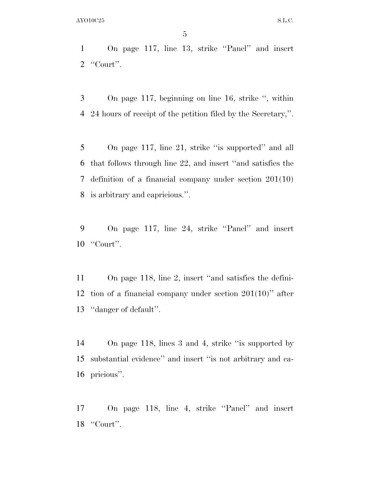On page 117, line 13, strike ''Panel'' and insert ''Court''.

 On page 117, beginning on line 16, strike '', within 24 hours of receipt of the petition filed by the Secretary,''.

 On page 117, line 21, strike ''is supported'' and all that follows through line 22, and insert ''and satisfies the definition of a financial company under section 201(10) is arbitrary and capricious.''.

 On page 117, line 24, strike ''Panel'' and insert ''Court''.

 On page 118, line 2, insert ''and satisfies the defini- tion of a financial company under section 201(10)'' after ''danger of default''.

 On page 118, lines 3 and 4, strike ''is supported by substantial evidence'' and insert ''is not arbitrary and ca-pricious''.

 On page 118, line 4, strike ''Panel'' and insert ''Court''.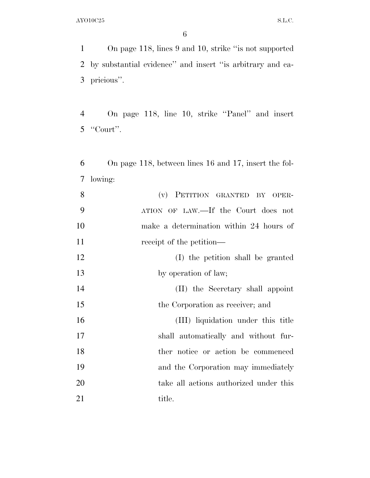On page 118, lines 9 and 10, strike ''is not supported by substantial evidence'' and insert ''is arbitrary and ca-pricious''.

 On page 118, line 10, strike ''Panel'' and insert ''Court''.

 On page 118, between lines 16 and 17, insert the fol-lowing:

| 8  | (v) PETITION GRANTED BY OPER-           |
|----|-----------------------------------------|
| 9  | ATION OF LAW.—If the Court does not     |
| 10 | make a determination within 24 hours of |
| 11 | receipt of the petition—                |
| 12 | (I) the petition shall be granted       |
| 13 | by operation of law;                    |
| 14 | (II) the Secretary shall appoint        |
| 15 | the Corporation as receiver; and        |
| 16 | (III) liquidation under this title      |
| 17 | shall automatically and without fur-    |
| 18 | ther notice or action be commenced      |
| 19 | and the Corporation may immediately     |
| 20 | take all actions authorized under this  |
| 21 | title.                                  |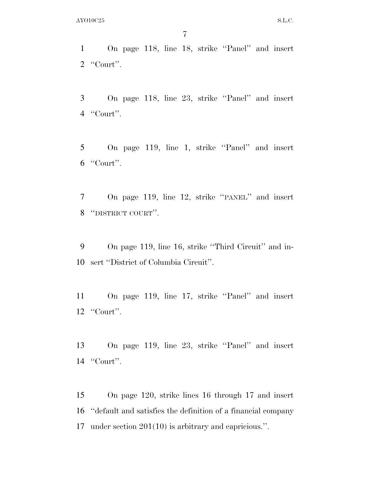On page 118, line 18, strike ''Panel'' and insert ''Court''.

 On page 118, line 23, strike ''Panel'' and insert ''Court''.

 On page 119, line 1, strike ''Panel'' and insert ''Court''.

 On page 119, line 12, strike ''PANEL'' and insert ''DISTRICT COURT''.

 On page 119, line 16, strike ''Third Circuit'' and in-sert ''District of Columbia Circuit''.

 On page 119, line 17, strike ''Panel'' and insert ''Court''.

 On page 119, line 23, strike ''Panel'' and insert ''Court''.

 On page 120, strike lines 16 through 17 and insert ''default and satisfies the definition of a financial company under section 201(10) is arbitrary and capricious.''.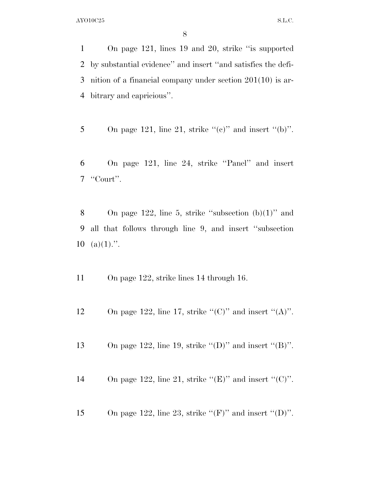On page 121, lines 19 and 20, strike ''is supported by substantial evidence'' and insert ''and satisfies the defi- nition of a financial company under section 201(10) is ar-bitrary and capricious''.

- 5 On page 121, line 21, strike " $(e)$ " and insert " $(b)$ ".
- 6 On page 121, line 24, strike ''Panel'' and insert 7 ''Court''.
- 8 On page 122, line 5, strike "subsection  $(b)(1)$ " and 9 all that follows through line 9, and insert ''subsection 10 (a) $(1)$ .".
- 11 On page 122, strike lines 14 through 16.
- 12 On page 122, line 17, strike " $(C)$ " and insert " $(A)$ ".
- 13 On page 122, line 19, strike  $\lq(\mathbf{D})$ " and insert  $\lq(\mathbf{B})$ ".
- 14 On page 122, line 21, strike " $(E)$ " and insert " $(C)$ ".
- 15 On page 122, line 23, strike " $(F)$ " and insert " $(D)$ ".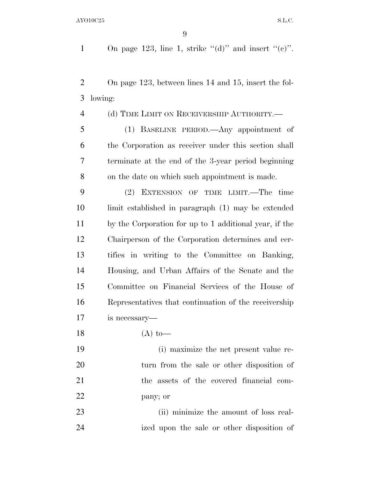1 On page 123, line 1, strike " $(d)$ " and insert " $(e)$ ".

 On page 123, between lines 14 and 15, insert the fol-lowing:

(d) TIME LIMIT ON RECEIVERSHIP AUTHORITY.—

 (1) BASELINE PERIOD.—Any appointment of the Corporation as receiver under this section shall terminate at the end of the 3-year period beginning on the date on which such appointment is made.

 (2) EXTENSION OF TIME LIMIT.—The time limit established in paragraph (1) may be extended by the Corporation for up to 1 additional year, if the Chairperson of the Corporation determines and cer- tifies in writing to the Committee on Banking, Housing, and Urban Affairs of the Senate and the Committee on Financial Services of the House of Representatives that continuation of the receivership is necessary—

18 (A) to—

 (i) maximize the net present value re- turn from the sale or other disposition of the assets of the covered financial com-pany; or

 (ii) minimize the amount of loss real-ized upon the sale or other disposition of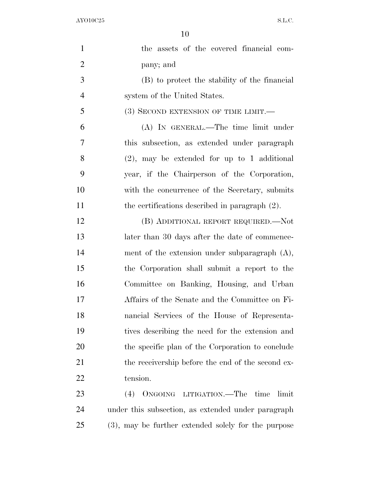| $\mathbf{1}$   | the assets of the covered financial com-            |
|----------------|-----------------------------------------------------|
| $\overline{2}$ | pany; and                                           |
| 3              | (B) to protect the stability of the financial       |
| $\overline{4}$ | system of the United States.                        |
| 5              | (3) SECOND EXTENSION OF TIME LIMIT.—                |
| 6              | (A) IN GENERAL.—The time limit under                |
| $\overline{7}$ | this subsection, as extended under paragraph        |
| 8              | $(2)$ , may be extended for up to 1 additional      |
| 9              | year, if the Chairperson of the Corporation,        |
| 10             | with the concurrence of the Secretary, submits      |
| 11             | the certifications described in paragraph $(2)$ .   |
| 12             | (B) ADDITIONAL REPORT REQUIRED.—Not                 |
| 13             | later than 30 days after the date of commence-      |
| 14             | ment of the extension under subparagraph $(A)$ ,    |
| 15             | the Corporation shall submit a report to the        |
| 16             | Committee on Banking, Housing, and Urban            |
| 17             | Affairs of the Senate and the Committee on Fi-      |
| 18             | nancial Services of the House of Representa-        |
| 19             | tives describing the need for the extension and     |
| 20             | the specific plan of the Corporation to conclude    |
| 21             | the receivership before the end of the second ex-   |
| 22             | tension.                                            |
| 23             | (4) ONGOING LITIGATION.—The<br>time<br>limit        |
| 24             | under this subsection, as extended under paragraph  |
| 25             | (3), may be further extended solely for the purpose |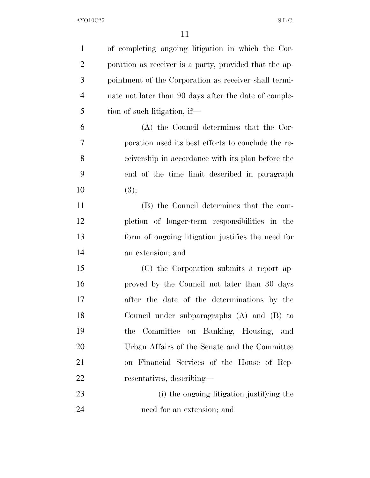| $\mathbf{1}$   | of completing ongoing litigation in which the Cor-     |
|----------------|--------------------------------------------------------|
| $\overline{2}$ | poration as receiver is a party, provided that the ap- |
| 3              | pointment of the Corporation as receiver shall termi-  |
| $\overline{4}$ | nate not later than 90 days after the date of comple-  |
| 5              | tion of such litigation, if—                           |
| 6              | (A) the Council determines that the Cor-               |
| 7              | poration used its best efforts to conclude the re-     |
| 8              | ceivership in accordance with its plan before the      |
| 9              | end of the time limit described in paragraph           |
| 10             | (3);                                                   |
| 11             | (B) the Council determines that the com-               |
| 12             | pletion of longer-term responsibilities in the         |
| 13             | form of ongoing litigation justifies the need for      |
| 14             | an extension; and                                      |
| 15             | (C) the Corporation submits a report ap-               |
| 16             | proved by the Council not later than 30 days           |
| 17             | after the date of the determinations by the            |
| 18             | Council under subparagraphs (A) and (B) to             |
| 19             | Committee on Banking, Housing, and<br>the              |
| 20             | Urban Affairs of the Senate and the Committee          |
| 21             | on Financial Services of the House of Rep-             |
| 22             | resentatives, describing—                              |
| 23             | (i) the ongoing litigation justifying the              |
| 24             | need for an extension; and                             |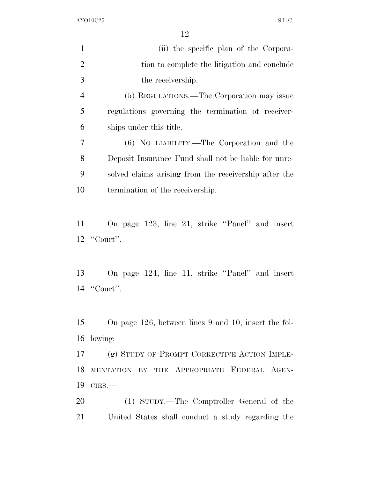| $\mathbf{1}$   | (ii) the specific plan of the Corpora-                |
|----------------|-------------------------------------------------------|
| $\overline{2}$ | tion to complete the litigation and conclude          |
| 3              | the receivership.                                     |
| $\overline{4}$ | (5) REGULATIONS.—The Corporation may issue            |
| 5              | regulations governing the termination of receiver-    |
| 6              | ships under this title.                               |
| 7              | (6) NO LIABILITY.—The Corporation and the             |
| 8              | Deposit Insurance Fund shall not be liable for unre-  |
| 9              | solved claims arising from the receivership after the |
| 10             | termination of the receivership.                      |
|                |                                                       |
| 11             | On page 123, line 21, strike "Panel" and insert       |
|                | $12$ "Court".                                         |
|                |                                                       |
| 13             | On page 124, line 11, strike "Panel" and insert       |
|                | $14$ "Court".                                         |
|                |                                                       |
| 15             | On page 126, between lines 9 and 10, insert the fol-  |
| 16             | lowing:                                               |
| 17             | (g) STUDY OF PROMPT CORRECTIVE ACTION IMPLE-          |
| 18             | MENTATION BY THE APPROPRIATE FEDERAL AGEN-            |
| 19             | $CIES$ .                                              |
|                |                                                       |
| 20             | (1) STUDY.—The Comptroller General of the             |
| 21             | United States shall conduct a study regarding the     |
|                |                                                       |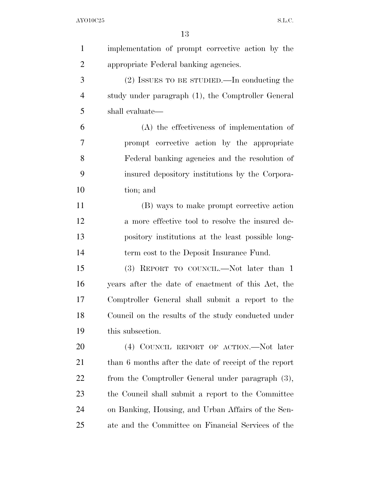| $\mathbf{1}$   | implementation of prompt corrective action by the     |
|----------------|-------------------------------------------------------|
| $\overline{2}$ | appropriate Federal banking agencies.                 |
| 3              | $(2)$ ISSUES TO BE STUDIED.—In conducting the         |
| $\overline{4}$ | study under paragraph (1), the Comptroller General    |
| 5              | shall evaluate—                                       |
| 6              | $(A)$ the effectiveness of implementation of          |
| 7              | prompt corrective action by the appropriate           |
| 8              | Federal banking agencies and the resolution of        |
| 9              | insured depository institutions by the Corpora-       |
| 10             | tion; and                                             |
| 11             | (B) ways to make prompt corrective action             |
| 12             | a more effective tool to resolve the insured de-      |
| 13             | pository institutions at the least possible long-     |
| 14             | term cost to the Deposit Insurance Fund.              |
| 15             | (3) REPORT TO COUNCIL.—Not later than 1               |
| 16             | years after the date of enactment of this Act, the    |
| 17             | Comptroller General shall submit a report to the      |
| 18             | Council on the results of the study conducted under   |
| 19             | this subsection.                                      |
| 20             | (4) COUNCIL REPORT OF ACTION.—Not later               |
| 21             | than 6 months after the date of receipt of the report |
| 22             | from the Comptroller General under paragraph (3),     |
| 23             | the Council shall submit a report to the Committee    |
| 24             | on Banking, Housing, and Urban Affairs of the Sen-    |
| 25             | ate and the Committee on Financial Services of the    |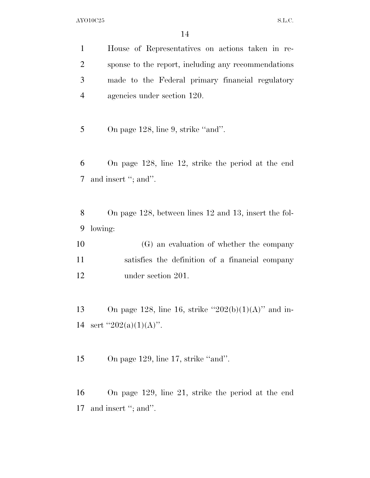House of Representatives on actions taken in re- sponse to the report, including any recommendations made to the Federal primary financial regulatory agencies under section 120.

5 On page 128, line 9, strike "and".

 On page 128, line 12, strike the period at the end 7 and insert "; and".

 On page 128, between lines 12 and 13, insert the fol-lowing:

 (G) an evaluation of whether the company satisfies the definition of a financial company under section 201.

13 On page 128, line 16, strike  $"202(b)(1)(A)"$  and in-14 sert  $"202(a)(1)(A)"$ .

15 On page 129, line 17, strike "and".

 On page 129, line 21, strike the period at the end 17 and insert "; and".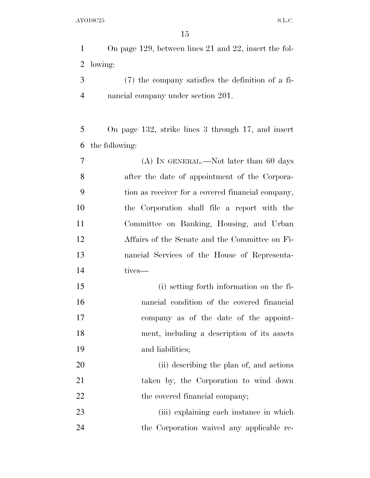On page 129, between lines 21 and 22, insert the fol-lowing:

 (7) the company satisfies the definition of a fi-nancial company under section 201.

 On page 132, strike lines 3 through 17, and insert the following:

 (A) IN GENERAL.—Not later than 60 days after the date of appointment of the Corpora- tion as receiver for a covered financial company, the Corporation shall file a report with the Committee on Banking, Housing, and Urban Affairs of the Senate and the Committee on Fi- nancial Services of the House of Representa-tives—

 (i) setting forth information on the fi- nancial condition of the covered financial company as of the date of the appoint- ment, including a description of its assets and liabilities;

20 (ii) describing the plan of, and actions taken by, the Corporation to wind down 22 the covered financial company;

23 (iii) explaining each instance in which the Corporation waived any applicable re-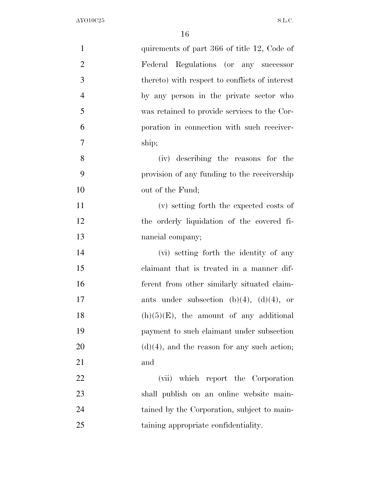| $\mathbf{1}$   | quirements of part 366 of title 12, Code of    |
|----------------|------------------------------------------------|
| $\overline{2}$ | Federal Regulations (or any successor          |
| 3              | thereto) with respect to conflicts of interest |
| $\overline{4}$ | by any person in the private sector who        |
| 5              | was retained to provide services to the Cor-   |
| 6              | poration in connection with such receiver-     |
| 7              | ship;                                          |
| 8              | (iv) describing the reasons for the            |
| 9              | provision of any funding to the receivership   |
| 10             | out of the Fund;                               |
| 11             | (v) setting forth the expected costs of        |
| 12             | the orderly liquidation of the covered fi-     |
| 13             | nancial company;                               |
| 14             | (vi) setting forth the identity of any         |
| 15             | claimant that is treated in a manner dif-      |
| 16             | ferent from other similarly situated claim-    |
| 17             | ants under subsection (b)(4), (d)(4), or       |
| 18             | $(h)(5)(E)$ , the amount of any additional     |
| 19             | payment to such claimant under subsection      |
| 20             | $(d)(4)$ , and the reason for any such action; |
| 21             | and                                            |
| 22             | (vii) which report the Corporation             |
| 23             | shall publish on an online website main-       |
| 24             | tained by the Corporation, subject to main-    |
| 25             | taining appropriate confidentiality.           |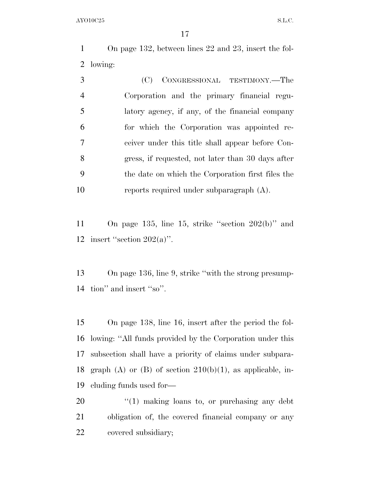On page 132, between lines 22 and 23, insert the fol-lowing:

| 3              | (C) CONGRESSIONAL TESTIMONY.—The                  |
|----------------|---------------------------------------------------|
| $\overline{4}$ | Corporation and the primary financial regu-       |
| 5              | latory agency, if any, of the financial company   |
| 6              | for which the Corporation was appointed re-       |
| 7              | ceiver under this title shall appear before Con-  |
| 8              | gress, if requested, not later than 30 days after |
| -9             | the date on which the Corporation first files the |
| 10             | reports required under subparagraph (A).          |

 On page 135, line 15, strike ''section 202(b)'' and 12 insert "section  $202(a)$ ".

 On page 136, line 9, strike ''with the strong presump-tion'' and insert ''so''.

 On page 138, line 16, insert after the period the fol- lowing: ''All funds provided by the Corporation under this subsection shall have a priority of claims under subpara-18 graph (A) or (B) of section  $210(b)(1)$ , as applicable, in-cluding funds used for—

20  $\frac{1}{20}$  (1) making loans to, or purchasing any debt obligation of, the covered financial company or any covered subsidiary;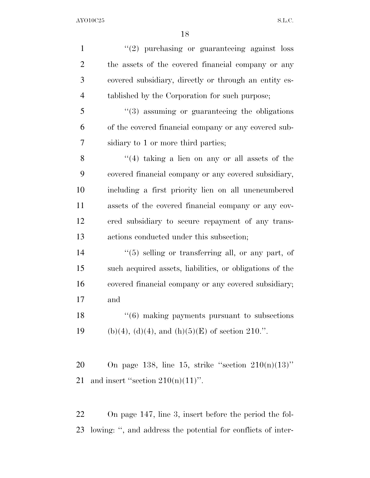| $\mathbf{1}$   | $(2)$ purchasing or guaranteeing against loss            |
|----------------|----------------------------------------------------------|
| $\overline{2}$ | the assets of the covered financial company or any       |
| 3              | covered subsidiary, directly or through an entity es-    |
| $\overline{4}$ | tablished by the Corporation for such purpose;           |
| 5              | $\cdot\cdot(3)$ assuming or guaranteeing the obligations |
| 6              | of the covered financial company or any covered sub-     |
| $\overline{7}$ | sidiary to 1 or more third parties;                      |
| 8              | $(4)$ taking a lien on any or all assets of the          |
| 9              | covered financial company or any covered subsidiary,     |
| 10             | including a first priority lien on all unencumbered      |
| 11             | assets of the covered financial company or any cov-      |
| 12             | ered subsidiary to secure repayment of any trans-        |
| 13             | actions conducted under this subsection;                 |
| 14             | $\lq(5)$ selling or transferring all, or any part, of    |
| 15             | such acquired assets, liabilities, or obligations of the |
| 16             | covered financial company or any covered subsidiary;     |
| 17             | and                                                      |
| 18             | $"(6)$ making payments pursuant to subsections           |
| 19             | (b)(4), (d)(4), and (h)(5)(E) of section 210.".          |
|                |                                                          |
| 20             | On page 138, line 15, strike "section $210(n)(13)$ "     |
| 21             | and insert "section $210(n)(11)$ ".                      |
|                |                                                          |

 On page 147, line 3, insert before the period the fol-lowing: '', and address the potential for conflicts of inter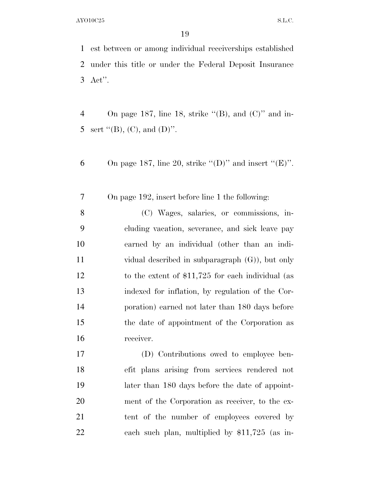est between or among individual receiverships established under this title or under the Federal Deposit Insurance Act''.

4 On page 187, line 18, strike " $(B)$ , and  $(C)$ " and in-5 sert  $"({\rm B})$ , (C), and (D)".

6 On page 187, line 20, strike "(D)" and insert " $(E)$ ".

On page 192, insert before line 1 the following:

 (C) Wages, salaries, or commissions, in- cluding vacation, severance, and sick leave pay earned by an individual (other than an indi- vidual described in subparagraph (G)), but only to the extent of \$11,725 for each individual (as indexed for inflation, by regulation of the Cor- poration) earned not later than 180 days before the date of appointment of the Corporation as receiver.

 (D) Contributions owed to employee ben- efit plans arising from services rendered not later than 180 days before the date of appoint- ment of the Corporation as receiver, to the ex- tent of the number of employees covered by each such plan, multiplied by \$11,725 (as in-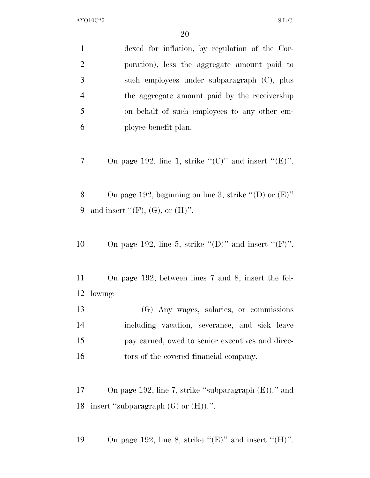|                | ∠∪                                                          |
|----------------|-------------------------------------------------------------|
| $\mathbf{1}$   | dexed for inflation, by regulation of the Cor-              |
| $\overline{2}$ | poration), less the aggregate amount paid to                |
| 3              | such employees under subparagraph (C), plus                 |
| $\overline{4}$ | the aggregate amount paid by the receivership               |
| 5              | on behalf of such employees to any other em-                |
| 6              | ployee benefit plan.                                        |
|                |                                                             |
| 7              | On page 192, line 1, strike " $(C)$ " and insert " $(E)$ ". |
|                |                                                             |
| 8              | On page 192, beginning on line 3, strike "(D) or $(E)$ "    |
| 9              | and insert " $(F)$ , $(G)$ , or $(H)$ ".                    |
|                |                                                             |
| 10             | On page 192, line 5, strike " $(D)$ " and insert " $(F)$ ". |
|                |                                                             |
| 11             | On page 192, between lines 7 and 8, insert the fol-         |
| 12             | lowing:                                                     |
| 13             | (G) Any wages, salaries, or commissions                     |
| 14             | including vacation, severance, and sick leave               |
| 15             | pay earned, owed to senior executives and direc-            |
| 16             | tors of the covered financial company.                      |
|                |                                                             |
| 17             | On page 192, line 7, strike "subparagraph $(E)$ )." and     |
|                |                                                             |

insert ''subparagraph  ${\rm (G)}$  or  ${\rm (H))}.$  ''.

19 On page 192, line 8, strike " $(E)$ " and insert " $(H)$ ".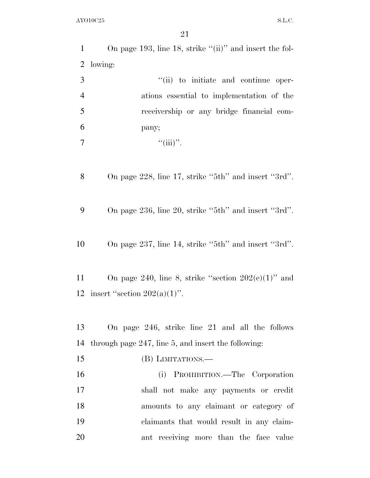| 1              | On page 193, line 18, strike " $(ii)$ " and insert the fol- |
|----------------|-------------------------------------------------------------|
| $\overline{2}$ | lowing:                                                     |
| 3              | "(ii) to initiate and continue oper-                        |
| $\overline{4}$ | ations essential to implementation of the                   |
| 5              | receivership or any bridge financial com-                   |
| 6              | pany;                                                       |
| $\overline{7}$ | ``(iii)'''.                                                 |
|                |                                                             |
| 8              | On page 228, line 17, strike "5th" and insert "3rd".        |
| 9              | On page 236, line 20, strike "5th" and insert "3rd".        |
| 10             | On page 237, line 14, strike "5th" and insert "3rd".        |
| 11             | On page 240, line 8, strike "section $202(e)(1)$ " and      |
|                | 12 insert "section $202(a)(1)$ ".                           |
|                |                                                             |
| 13             | On page 246, strike line 21 and all the follows             |
| 14             | through page 247, line 5, and insert the following:         |
| 15             | (B) LIMITATIONS.—                                           |
| 16             | (i) PROHIBITION.—The Corporation                            |
| 17             | shall not make any payments or credit                       |
| 18             | amounts to any claimant or category of                      |
| 19             | claimants that would result in any claim-                   |
| 20             | ant receiving more than the face value                      |
|                |                                                             |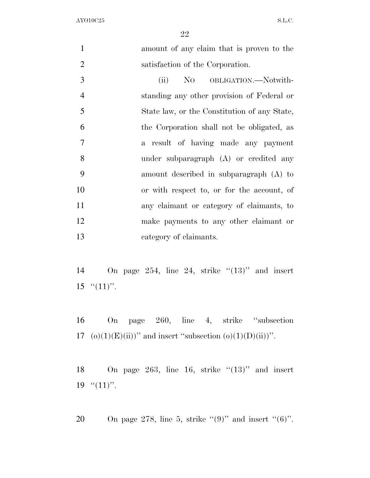amount of any claim that is proven to the satisfaction of the Corporation. 3 (ii) No OBLIGATION.—Notwith- standing any other provision of Federal or State law, or the Constitution of any State,

 the Corporation shall not be obligated, as a result of having made any payment under subparagraph (A) or credited any amount described in subparagraph (A) to or with respect to, or for the account, of any claimant or category of claimants, to make payments to any other claimant or category of claimants.

14 On page 254, line 24, strike  $(13)$ " and insert 15  $\cdot$  (11)''.

 On page 260, line 4, strike ''subsection 17 (o)(1)(E)(ii))" and insert "subsection (o)(1)(D)(ii))".

18 On page 263, line 16, strike  $(13)$ " and insert 19  $"(11)"$ .

20 On page 278, line 5, strike " $(9)$ " and insert " $(6)$ ".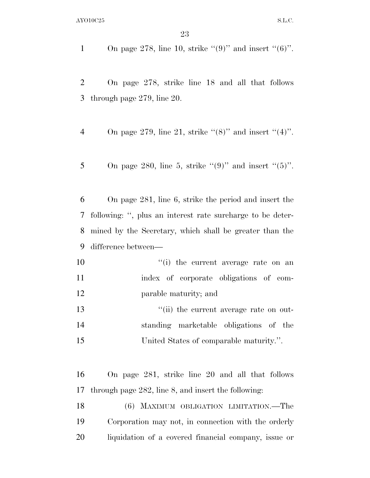1 On page 278, line 10, strike " $(9)$ " and insert " $(6)$ ".

 On page 278, strike line 18 and all that follows through page 279, line 20.

- 4 On page 279, line 21, strike " $(8)$ " and insert " $(4)$ ".
- 5 On page 280, line 5, strike " $(9)$ " and insert " $(5)$ ".

 On page 281, line 6, strike the period and insert the following: '', plus an interest rate surcharge to be deter- mined by the Secretary, which shall be greater than the difference between—

- 10  $\frac{10}{10}$  the current average rate on an index of corporate obligations of com-parable maturity; and
- 13  $\frac{1}{2}$   $\frac{1}{2}$  the current average rate on out- standing marketable obligations of the United States of comparable maturity.''.

 On page 281, strike line 20 and all that follows through page 282, line 8, and insert the following:

 (6) MAXIMUM OBLIGATION LIMITATION.—The Corporation may not, in connection with the orderly liquidation of a covered financial company, issue or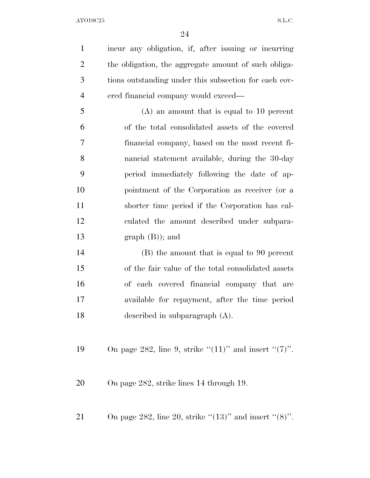incur any obligation, if, after issuing or incurring the obligation, the aggregate amount of such obliga- tions outstanding under this subsection for each cov-ered financial company would exceed—

 (A) an amount that is equal to 10 percent of the total consolidated assets of the covered financial company, based on the most recent fi- nancial statement available, during the 30-day period immediately following the date of ap- pointment of the Corporation as receiver (or a shorter time period if the Corporation has cal- culated the amount described under subpara-13 graph  $(B)$ ; and

 (B) the amount that is equal to 90 percent of the fair value of the total consolidated assets of each covered financial company that are available for repayment, after the time period described in subparagraph (A).

19 On page 282, line 9, strike  $(11)$ " and insert  $(7)$ ".

On page 282, strike lines 14 through 19.

21 On page 282, line 20, strike " $(13)$ " and insert " $(8)$ ".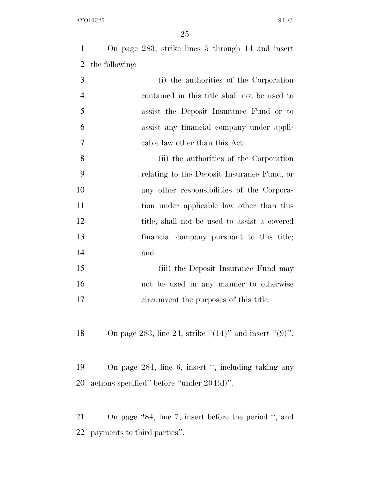On page 283, strike lines 5 through 14 and insert the following:

| 3              | (i) the authorities of the Corporation       |
|----------------|----------------------------------------------|
| $\overline{4}$ | contained in this title shall not be used to |
| 5              | assist the Deposit Insurance Fund or to      |
| 6              | assist any financial company under appli-    |
| 7              | cable law other than this Act;               |
| 8              | (ii) the authorities of the Corporation      |
| -9             | relating to the Deposit Insurance Fund, or   |
| 10             | any other responsibilities of the Corpora-   |
|                |                                              |

11 tion under applicable law other than this title, shall not be used to assist a covered financial company pursuant to this title; and

15 (iii) the Deposit Insurance Fund may not be used in any manner to otherwise circumvent the purposes of this title.

18 On page 283, line 24, strike " $(14)$ " and insert " $(9)$ ".

 On page 284, line 6, insert '', including taking any actions specified'' before ''under 204(d)''.

 On page 284, line 7, insert before the period '', and payments to third parties''.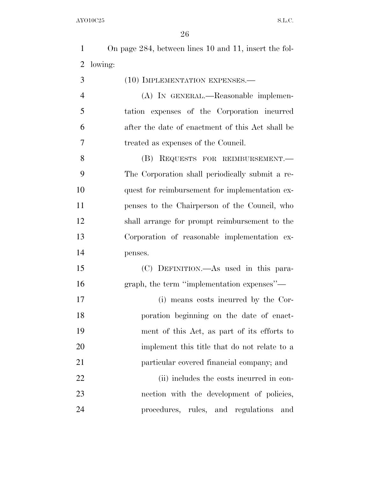|     | On page 284, between lines 10 and 11, insert the fol- |
|-----|-------------------------------------------------------|
|     | 2 lowing:                                             |
| - 3 | $(10)$ IMPLEMENTATION EXPENSES.—                      |
|     | (A) IN GENERAL.—Reasonable implemen-                  |

 tation expenses of the Corporation incurred after the date of enactment of this Act shall be treated as expenses of the Council.

 (B) REQUESTS FOR REIMBURSEMENT.— The Corporation shall periodically submit a re-10 quest for reimbursement for implementation ex- penses to the Chairperson of the Council, who shall arrange for prompt reimbursement to the Corporation of reasonable implementation ex-penses.

 (C) DEFINITION.—As used in this para-graph, the term ''implementation expenses''—

 (i) means costs incurred by the Cor- poration beginning on the date of enact- ment of this Act, as part of its efforts to implement this title that do not relate to a particular covered financial company; and

22 (ii) includes the costs incurred in con- nection with the development of policies, procedures, rules, and regulations and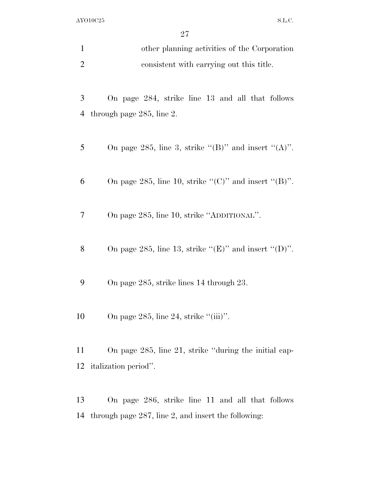| other planning activities of the Corporation |
|----------------------------------------------|
| consistent with carrying out this title.     |

 On page 284, strike line 13 and all that follows through page 285, line 2.

- 5 On page 285, line 3, strike " $(B)$ " and insert " $(A)$ ".
- 6 On page 285, line 10, strike " $(C)$ " and insert " $(B)$ ".
- On page 285, line 10, strike ''ADDITIONAL''.
- 8 On page 285, line 13, strike " $(E)$ " and insert " $(D)$ ".
- On page 285, strike lines 14 through 23.
- 10 On page 285, line 24, strike "(iii)".

 On page 285, line 21, strike ''during the initial cap-italization period''.

 On page 286, strike line 11 and all that follows through page 287, line 2, and insert the following: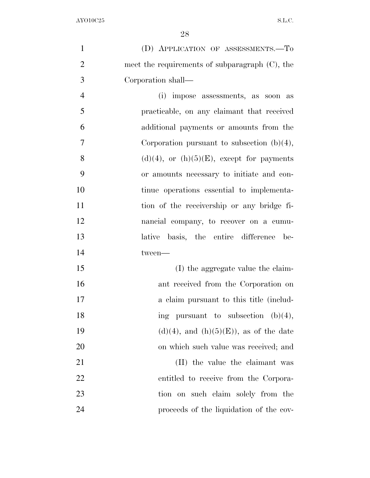| $\mathbf{1}$   | (D) APPLICATION OF ASSESSMENTS.-To                |
|----------------|---------------------------------------------------|
| $\overline{2}$ | meet the requirements of subparagraph $(C)$ , the |
| 3              | Corporation shall—                                |
| $\overline{4}$ | (i) impose assessments, as soon as                |
| 5              | practicable, on any claimant that received        |
| 6              | additional payments or amounts from the           |
| 7              | Corporation pursuant to subsection $(b)(4)$ ,     |
| 8              | $(d)(4)$ , or $(h)(5)(E)$ , except for payments   |
| 9              | or amounts necessary to initiate and con-         |
| 10             | tinue operations essential to implementa-         |
| 11             | tion of the receivership or any bridge fi-        |
| 12             | nancial company, to recover on a cumu-            |
| 13             | lative basis, the entire difference<br>be-        |
| 14             | tween-                                            |
| 15             | (I) the aggregate value the claim-                |
| 16             | ant received from the Corporation on              |
| 17             | a claim pursuant to this title (includ-           |
| 18             | ing pursuant to subsection $(b)(4)$ ,             |
| 19             | $(d)(4)$ , and $(h)(5)(E)$ , as of the date       |
| 20             | on which such value was received; and             |
| 21             | (II) the value the claimant was                   |
| 22             | entitled to receive from the Corpora-             |
| 23             | tion on such claim solely from the                |
| 24             | proceeds of the liquidation of the cov-           |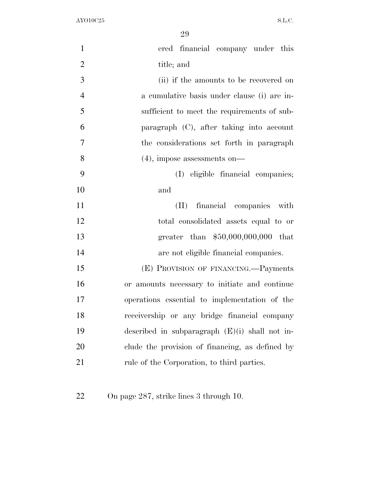| $\mathbf{1}$   | ered financial company under this                |
|----------------|--------------------------------------------------|
| $\overline{2}$ | title; and                                       |
| 3              | (ii) if the amounts to be recovered on           |
| $\overline{4}$ | a cumulative basis under clause (i) are in-      |
| 5              | sufficient to meet the requirements of sub-      |
| 6              | paragraph (C), after taking into account         |
| 7              | the considerations set forth in paragraph        |
| 8              | $(4)$ , impose assessments on—                   |
| 9              | (I) eligible financial companies;                |
| 10             | and                                              |
| 11             | (II) financial companies<br>with                 |
| 12             | total consolidated assets equal to or            |
| 13             | greater than $$50,000,000,000$ that              |
| 14             | are not eligible financial companies.            |
| 15             | (E) PROVISION OF FINANCING.—Payments             |
| 16             | or amounts necessary to initiate and continue    |
| 17             | operations essential to implementation of the    |
| 18             | receivership or any bridge financial company     |
| 19             | described in subparagraph $(E)(i)$ shall not in- |
| 20             | clude the provision of financing, as defined by  |
| 21             | rule of the Corporation, to third parties.       |
|                |                                                  |

On page 287, strike lines 3 through 10.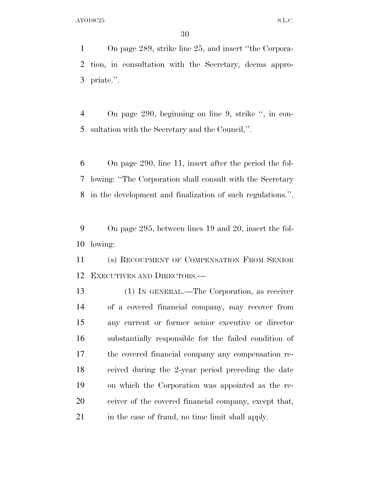On page 289, strike line 25, and insert ''the Corpora- tion, in consultation with the Secretary, deems appro-priate.''.

 On page 290, beginning on line 9, strike '', in con-sultation with the Secretary and the Council,''.

 On page 290, line 11, insert after the period the fol- lowing: ''The Corporation shall consult with the Secretary in the development and finalization of such regulations.''.

 On page 295, between lines 19 and 20, insert the fol-lowing:

 (s) RECOUPMENT OF COMPENSATION FROM SENIOR EXECUTIVES AND DIRECTORS.—

 (1) IN GENERAL.—The Corporation, as receiver of a covered financial company, may recover from any current or former senior executive or director substantially responsible for the failed condition of the covered financial company any compensation re- ceived during the 2-year period preceding the date on which the Corporation was appointed as the re- ceiver of the covered financial company, except that, in the case of fraud, no time limit shall apply.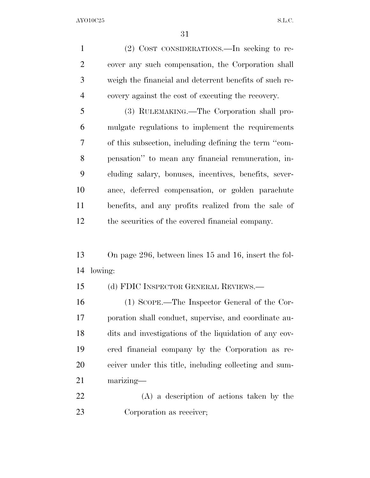(2) COST CONSIDERATIONS.—In seeking to re- cover any such compensation, the Corporation shall weigh the financial and deterrent benefits of such re-covery against the cost of executing the recovery.

 (3) RULEMAKING.—The Corporation shall pro- mulgate regulations to implement the requirements of this subsection, including defining the term ''com- pensation'' to mean any financial remuneration, in- cluding salary, bonuses, incentives, benefits, sever- ance, deferred compensation, or golden parachute benefits, and any profits realized from the sale of the securities of the covered financial company.

 On page 296, between lines 15 and 16, insert the fol-lowing:

(d) FDIC INSPECTOR GENERAL REVIEWS.—

 (1) SCOPE.—The Inspector General of the Cor- poration shall conduct, supervise, and coordinate au- dits and investigations of the liquidation of any cov- ered financial company by the Corporation as re- ceiver under this title, including collecting and sum-marizing—

 (A) a description of actions taken by the Corporation as receiver;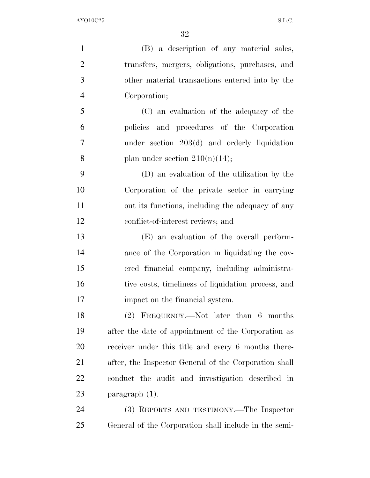(B) a description of any material sales, transfers, mergers, obligations, purchases, and other material transactions entered into by the Corporation; (C) an evaluation of the adequacy of the policies and procedures of the Corporation under section 203(d) and orderly liquidation 8 plan under section  $210(n)(14)$ ; (D) an evaluation of the utilization by the Corporation of the private sector in carrying out its functions, including the adequacy of any conflict-of-interest reviews; and (E) an evaluation of the overall perform- ance of the Corporation in liquidating the cov- ered financial company, including administra- tive costs, timeliness of liquidation process, and impact on the financial system. (2) FREQUENCY.—Not later than 6 months after the date of appointment of the Corporation as receiver under this title and every 6 months there- after, the Inspector General of the Corporation shall conduct the audit and investigation described in paragraph (1). (3) REPORTS AND TESTIMONY.—The Inspector

General of the Corporation shall include in the semi-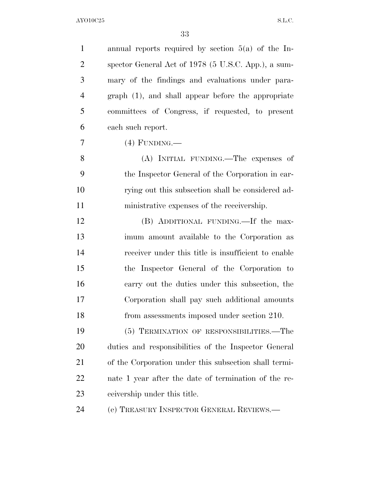| $\mathbf{1}$   | annual reports required by section $5(a)$ of the In-  |
|----------------|-------------------------------------------------------|
| $\overline{2}$ | spector General Act of 1978 (5 U.S.C. App.), a sum-   |
| 3              | mary of the findings and evaluations under para-      |
| $\overline{4}$ | graph (1), and shall appear before the appropriate    |
| 5              | committees of Congress, if requested, to present      |
| 6              | each such report.                                     |
| 7              | $(4)$ FUNDING.—                                       |
| 8              | (A) INITIAL FUNDING.—The expenses of                  |
| 9              | the Inspector General of the Corporation in car-      |
| 10             | rying out this subsection shall be considered ad-     |
| 11             | ministrative expenses of the receivership.            |
| 12             | (B) ADDITIONAL FUNDING.—If the max-                   |
| 13             | imum amount available to the Corporation as           |
| 14             | receiver under this title is insufficient to enable   |
| 15             | the Inspector General of the Corporation to           |
| 16             | carry out the duties under this subsection, the       |
| 17             | Corporation shall pay such additional amounts         |
| 18             | from assessments imposed under section 210.           |
| 19             | (5) TERMINATION OF RESPONSIBILITIES.—The              |
| 20             | duties and responsibilities of the Inspector General  |
| 21             | of the Corporation under this subsection shall termi- |
| <u>22</u>      | nate 1 year after the date of termination of the re-  |
| 23             | ceivership under this title.                          |
| 24             | (e) TREASURY INSPECTOR GENERAL REVIEWS.               |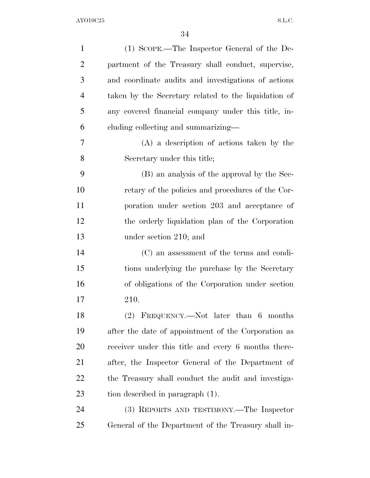| $\mathbf{1}$   | $(1)$ SCOPE.—The Inspector General of the De-        |
|----------------|------------------------------------------------------|
| $\overline{2}$ | partment of the Treasury shall conduct, supervise,   |
| 3              | and coordinate audits and investigations of actions  |
| $\overline{4}$ | taken by the Secretary related to the liquidation of |
| 5              | any covered financial company under this title, in-  |
| 6              | cluding collecting and summarizing—                  |
| 7              | $(A)$ a description of actions taken by the          |
| 8              | Secretary under this title;                          |
| 9              | (B) an analysis of the approval by the Sec-          |
| 10             | retary of the policies and procedures of the Cor-    |
| 11             | poration under section 203 and acceptance of         |
| 12             | the orderly liquidation plan of the Corporation      |
| 13             | under section 210; and                               |
| 14             | (C) an assessment of the terms and condi-            |
| 15             | tions underlying the purchase by the Secretary       |
| 16             | of obligations of the Corporation under section      |
| 17             | 210.                                                 |
| 18             | $(2)$ FREQUENCY.—Not later than 6 months             |
| 19             | after the date of appointment of the Corporation as  |
| 20             | receiver under this title and every 6 months there-  |
| 21             | after, the Inspector General of the Department of    |
| 22             | the Treasury shall conduct the audit and investiga-  |
| 23             | tion described in paragraph (1).                     |
| 24             | (3) REPORTS AND TESTIMONY.—The Inspector             |
| 25             | General of the Department of the Treasury shall in-  |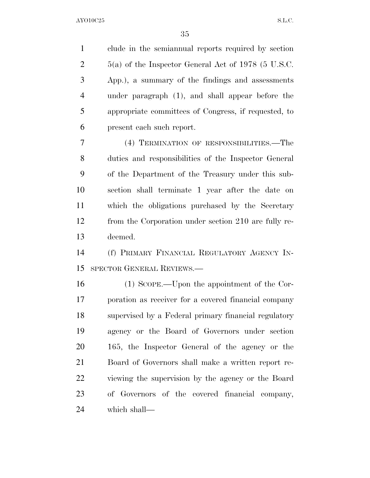clude in the semiannual reports required by section 5(a) of the Inspector General Act of 1978 (5 U.S.C. App.), a summary of the findings and assessments under paragraph (1), and shall appear before the appropriate committees of Congress, if requested, to present each such report.

 (4) TERMINATION OF RESPONSIBILITIES.—The duties and responsibilities of the Inspector General of the Department of the Treasury under this sub- section shall terminate 1 year after the date on which the obligations purchased by the Secretary from the Corporation under section 210 are fully re-deemed.

 (f) PRIMARY FINANCIAL REGULATORY AGENCY IN-SPECTOR GENERAL REVIEWS.—

 (1) SCOPE.—Upon the appointment of the Cor- poration as receiver for a covered financial company supervised by a Federal primary financial regulatory agency or the Board of Governors under section 165, the Inspector General of the agency or the Board of Governors shall make a written report re- viewing the supervision by the agency or the Board of Governors of the covered financial company, which shall—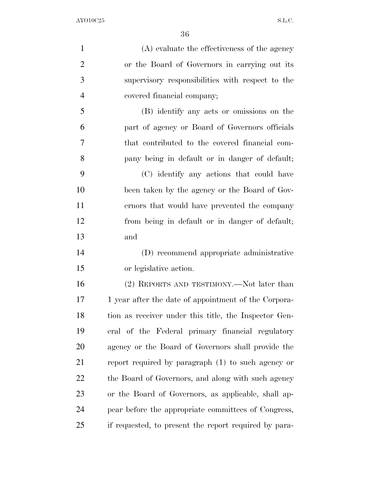(A) evaluate the effectiveness of the agency or the Board of Governors in carrying out its supervisory responsibilities with respect to the covered financial company; (B) identify any acts or omissions on the part of agency or Board of Governors officials that contributed to the covered financial com- pany being in default or in danger of default; (C) identify any actions that could have been taken by the agency or the Board of Gov- ernors that would have prevented the company from being in default or in danger of default; and (D) recommend appropriate administrative or legislative action. (2) REPORTS AND TESTIMONY.—Not later than 17 1 year after the date of appointment of the Corpora- tion as receiver under this title, the Inspector Gen- eral of the Federal primary financial regulatory agency or the Board of Governors shall provide the report required by paragraph (1) to such agency or the Board of Governors, and along with such agency or the Board of Governors, as applicable, shall ap- pear before the appropriate committees of Congress, if requested, to present the report required by para-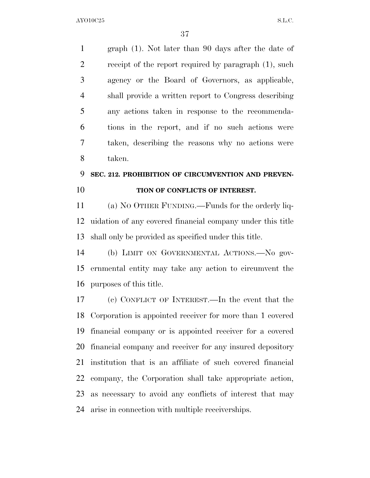graph (1). Not later than 90 days after the date of receipt of the report required by paragraph (1), such agency or the Board of Governors, as applicable, shall provide a written report to Congress describing any actions taken in response to the recommenda- tions in the report, and if no such actions were taken, describing the reasons why no actions were taken.

## **SEC. 212. PROHIBITION OF CIRCUMVENTION AND PREVEN-TION OF CONFLICTS OF INTEREST.**

 (a) NO OTHER FUNDING.—Funds for the orderly liq- uidation of any covered financial company under this title shall only be provided as specified under this title.

 (b) LIMIT ON GOVERNMENTAL ACTIONS.—No gov- ernmental entity may take any action to circumvent the purposes of this title.

 (c) CONFLICT OF INTEREST.—In the event that the Corporation is appointed receiver for more than 1 covered financial company or is appointed receiver for a covered financial company and receiver for any insured depository institution that is an affiliate of such covered financial company, the Corporation shall take appropriate action, as necessary to avoid any conflicts of interest that may arise in connection with multiple receiverships.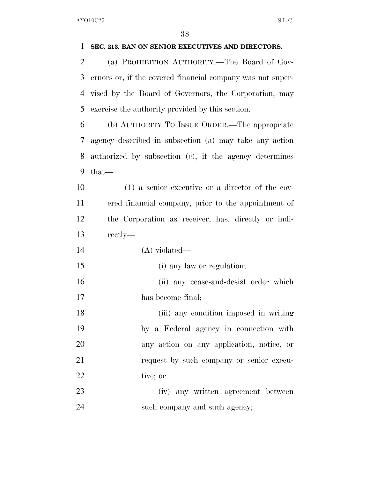## **SEC. 213. BAN ON SENIOR EXECUTIVES AND DIRECTORS.**

 (a) PROHIBITION AUTHORITY.—The Board of Gov- ernors or, if the covered financial company was not super- vised by the Board of Governors, the Corporation, may exercise the authority provided by this section.

 (b) AUTHORITY TO ISSUE ORDER.—The appropriate agency described in subsection (a) may take any action authorized by subsection (c), if the agency determines that—

 (1) a senior executive or a director of the cov- ered financial company, prior to the appointment of the Corporation as receiver, has, directly or indi-rectly—

- (A) violated—
- (i) any law or regulation;

 (ii) any cease-and-desist order which has become final;

 (iii) any condition imposed in writing by a Federal agency in connection with any action on any application, notice, or request by such company or senior execu-22 tive; or

 (iv) any written agreement between 24 such company and such agency;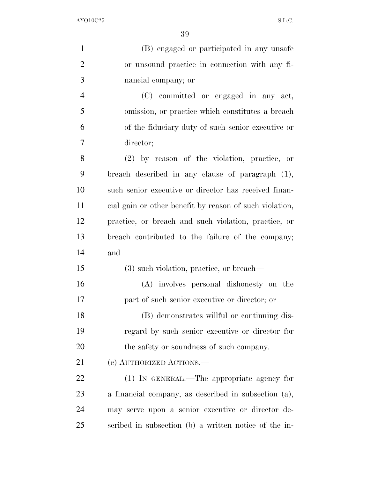(B) engaged or participated in any unsafe or unsound practice in connection with any fi- nancial company; or (C) committed or engaged in any act, omission, or practice which constitutes a breach of the fiduciary duty of such senior executive or director; (2) by reason of the violation, practice, or breach described in any clause of paragraph (1), such senior executive or director has received finan- cial gain or other benefit by reason of such violation, practice, or breach and such violation, practice, or breach contributed to the failure of the company; and (3) such violation, practice, or breach— (A) involves personal dishonesty on the part of such senior executive or director; or (B) demonstrates willful or continuing dis- regard by such senior executive or director for 20 the safety or soundness of such company. (c) AUTHORIZED ACTIONS.— (1) IN GENERAL.—The appropriate agency for a financial company, as described in subsection (a), may serve upon a senior executive or director de-scribed in subsection (b) a written notice of the in-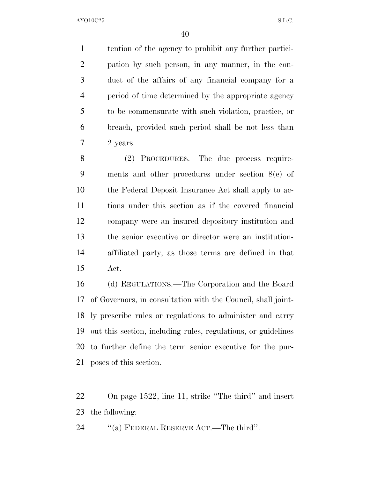tention of the agency to prohibit any further partici- pation by such person, in any manner, in the con- duct of the affairs of any financial company for a period of time determined by the appropriate agency to be commensurate with such violation, practice, or breach, provided such period shall be not less than 2 years.

 (2) PROCEDURES.—The due process require- ments and other procedures under section 8(e) of the Federal Deposit Insurance Act shall apply to ac- tions under this section as if the covered financial company were an insured depository institution and the senior executive or director were an institution- affiliated party, as those terms are defined in that Act.

 (d) REGULATIONS.—The Corporation and the Board of Governors, in consultation with the Council, shall joint- ly prescribe rules or regulations to administer and carry out this section, including rules, regulations, or guidelines to further define the term senior executive for the pur-poses of this section.

 On page 1522, line 11, strike ''The third'' and insert the following:

24 "(a) FEDERAL RESERVE ACT.—The third".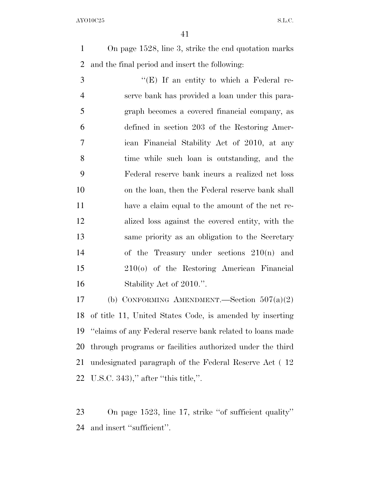On page 1528, line 3, strike the end quotation marks and the final period and insert the following:

 ''(E) If an entity to which a Federal re- serve bank has provided a loan under this para- graph becomes a covered financial company, as defined in section 203 of the Restoring Amer- ican Financial Stability Act of 2010, at any time while such loan is outstanding, and the Federal reserve bank incurs a realized net loss on the loan, then the Federal reserve bank shall have a claim equal to the amount of the net re- alized loss against the covered entity, with the same priority as an obligation to the Secretary of the Treasury under sections 210(n) and 210(o) of the Restoring American Financial 16 Stability Act of 2010.".

 (b) CONFORMING AMENDMENT.—Section 507(a)(2) of title 11, United States Code, is amended by inserting ''claims of any Federal reserve bank related to loans made through programs or facilities authorized under the third undesignated paragraph of the Federal Reserve Act ( 12 U.S.C. 343),'' after ''this title,''.

 On page 1523, line 17, strike ''of sufficient quality'' and insert ''sufficient''.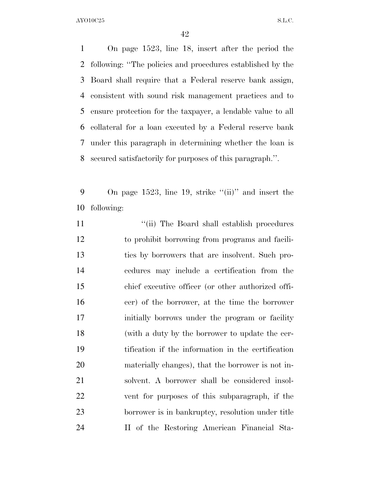On page 1523, line 18, insert after the period the following: ''The policies and procedures established by the Board shall require that a Federal reserve bank assign, consistent with sound risk management practices and to ensure protection for the taxpayer, a lendable value to all collateral for a loan executed by a Federal reserve bank under this paragraph in determining whether the loan is secured satisfactorily for purposes of this paragraph.''.

9 On page 1523, line 19, strike "(ii)" and insert the following:

11 ''(ii) The Board shall establish procedures to prohibit borrowing from programs and facili- ties by borrowers that are insolvent. Such pro- cedures may include a certification from the chief executive officer (or other authorized offi- cer) of the borrower, at the time the borrower initially borrows under the program or facility (with a duty by the borrower to update the cer- tification if the information in the certification materially changes), that the borrower is not in- solvent. A borrower shall be considered insol- vent for purposes of this subparagraph, if the borrower is in bankruptcy, resolution under title II of the Restoring American Financial Sta-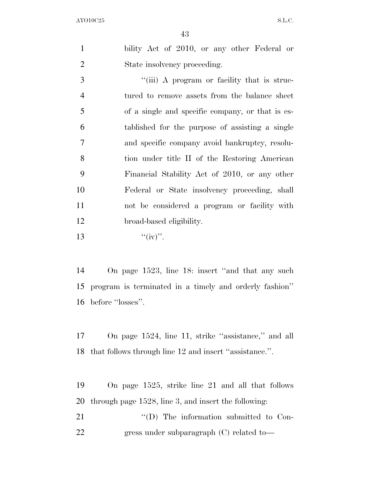| bility Act of 2010, or any other Federal or |
|---------------------------------------------|
| State insolvency proceeding.                |

3 ""(iii) A program or facility that is struc- tured to remove assets from the balance sheet of a single and specific company, or that is es- tablished for the purpose of assisting a single and specific company avoid bankruptcy, resolu- tion under title II of the Restoring American Financial Stability Act of 2010, or any other Federal or State insolvency proceeding, shall not be considered a program or facility with broad-based eligibility.  $\text{``(iv)}$ ".

 On page 1523, line 18: insert ''and that any such program is terminated in a timely and orderly fashion'' before ''losses''.

 On page 1524, line 11, strike ''assistance,'' and all that follows through line 12 and insert ''assistance.''.

 On page 1525, strike line 21 and all that follows through page 1528, line 3, and insert the following:

21  $\text{``(D)}$  The information submitted to Con-22 gress under subparagraph (C) related to-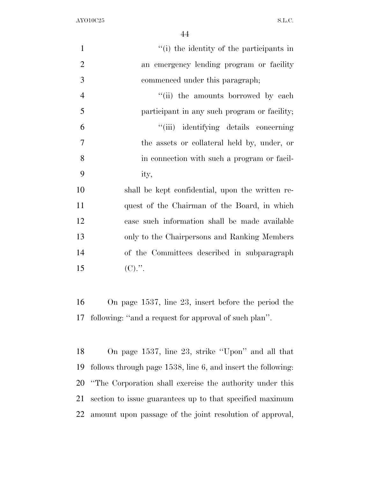| $\mathbf{1}$   | "(i) the identity of the participants in                  |
|----------------|-----------------------------------------------------------|
| $\overline{2}$ | an emergency lending program or facility                  |
| 3              | commenced under this paragraph;                           |
| $\overline{4}$ | "(ii) the amounts borrowed by each                        |
| 5              | participant in any such program or facility;              |
| 6              | "(iii) identifying details concerning                     |
| $\overline{7}$ | the assets or collateral held by, under, or               |
| 8              | in connection with such a program or facil-               |
| 9              | ity,                                                      |
| 10             | shall be kept confidential, upon the written re-          |
| 11             | quest of the Chairman of the Board, in which              |
| 12             | case such information shall be made available             |
| 13             | only to the Chairpersons and Ranking Members              |
| 14             | of the Committees described in subparagraph               |
| 15             | $(C).$ ".                                                 |
|                |                                                           |
| 16             | On page $1537$ , line $23$ , insert before the period the |
| 17             | following: "and a request for approval of such plan".     |

 On page 1537, line 23, strike ''Upon'' and all that follows through page 1538, line 6, and insert the following: ''The Corporation shall exercise the authority under this section to issue guarantees up to that specified maximum amount upon passage of the joint resolution of approval,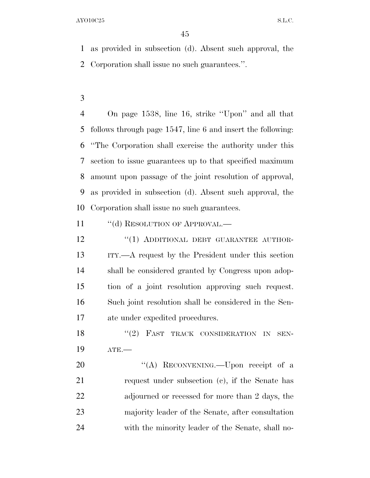as provided in subsection (d). Absent such approval, the Corporation shall issue no such guarantees.''.

 On page 1538, line 16, strike ''Upon'' and all that follows through page 1547, line 6 and insert the following: ''The Corporation shall exercise the authority under this section to issue guarantees up to that specified maximum amount upon passage of the joint resolution of approval, as provided in subsection (d). Absent such approval, the Corporation shall issue no such guarantees.

11 "(d) RESOLUTION OF APPROVAL.—

12 "(1) ADDITIONAL DEBT GUARANTEE AUTHOR- ITY.—A request by the President under this section shall be considered granted by Congress upon adop- tion of a joint resolution approving such request. Such joint resolution shall be considered in the Sen-ate under expedited procedures.

18 "(2) FAST TRACK CONSIDERATION IN SEN-ATE.—

20 "(A) RECONVENING.—Upon receipt of a request under subsection (c), if the Senate has adjourned or recessed for more than 2 days, the majority leader of the Senate, after consultation with the minority leader of the Senate, shall no-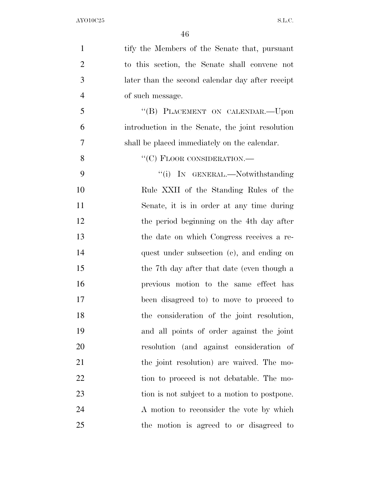| $\mathbf{1}$   | tify the Members of the Senate that, pursuant    |
|----------------|--------------------------------------------------|
| $\overline{2}$ | to this section, the Senate shall convene not    |
| 3              | later than the second calendar day after receipt |
| $\overline{4}$ | of such message.                                 |
| 5              | "(B) PLACEMENT ON CALENDAR.—Upon                 |
| 6              | introduction in the Senate, the joint resolution |
| 7              | shall be placed immediately on the calendar.     |
| 8              | $``(C)$ FLOOR CONSIDERATION.—                    |
| 9              | "(i) IN GENERAL.—Notwithstanding                 |
| 10             | Rule XXII of the Standing Rules of the           |
| 11             | Senate, it is in order at any time during        |
| 12             | the period beginning on the 4th day after        |
| 13             | the date on which Congress receives a re-        |
| 14             | quest under subsection (c), and ending on        |
| 15             | the 7th day after that date (even though a       |
| 16             | previous motion to the same effect has           |
| 17             | been disagreed to to move to proceed to          |
| 18             | the consideration of the joint resolution,       |
| 19             | and all points of order against the joint        |
| 20             | resolution (and against consideration of         |
| 21             | the joint resolution) are waived. The mo-        |
| 22             | tion to proceed is not debatable. The mo-        |
| 23             | tion is not subject to a motion to postpone.     |
| 24             | A motion to reconsider the vote by which         |
| 25             | the motion is agreed to or disagreed to          |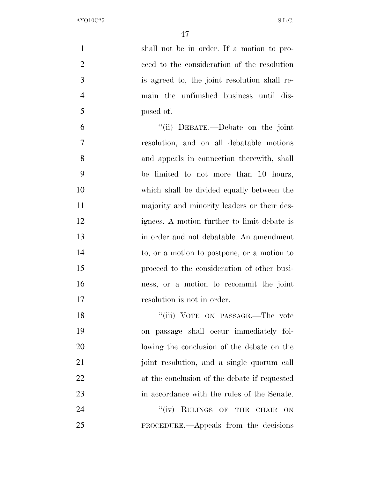| $\mathbf{1}$   | shall not be in order. If a motion to pro-            |
|----------------|-------------------------------------------------------|
| $\overline{2}$ | ceed to the consideration of the resolution           |
| 3              | is agreed to, the joint resolution shall re-          |
| $\overline{4}$ | main the unfinished business until dis-               |
| 5              | posed of.                                             |
| 6              | "(ii) DEBATE.—Debate on the joint                     |
| 7              | resolution, and on all debatable motions              |
| 8              | and appeals in connection therewith, shall            |
| 9              | be limited to not more than 10 hours,                 |
| 10             | which shall be divided equally between the            |
| 11             | majority and minority leaders or their des-           |
| 12             | ignees. A motion further to limit debate is           |
| 13             | in order and not debatable. An amendment              |
| 14             | to, or a motion to postpone, or a motion to           |
| 15             | proceed to the consideration of other busi-           |
| 16             | ness, or a motion to recommit the joint               |
| 17             | resolution is not in order.                           |
| 18             | "(iii) VOTE ON PASSAGE.—The vote                      |
| 19             | on passage shall occur immediately fol-               |
| 20             | lowing the conclusion of the debate on the            |
| 21             | joint resolution, and a single quorum call            |
| 22             | at the conclusion of the debate if requested          |
| 23             | in accordance with the rules of the Senate.           |
| 24             | RULINGS OF THE<br>``(iv)<br><b>CHAIR</b><br><b>ON</b> |
| 25             | <b>PROCEDURE.—Appeals</b> from the decisions          |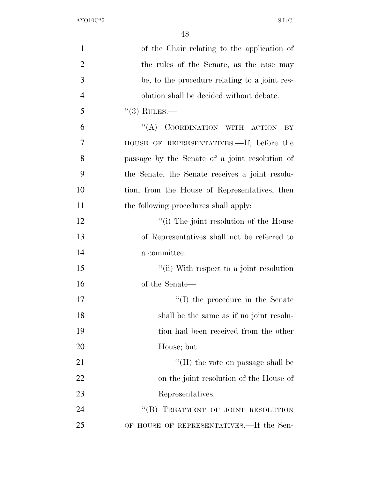| $\mathbf{1}$   | of the Chair relating to the application of     |
|----------------|-------------------------------------------------|
| $\overline{2}$ | the rules of the Senate, as the case may        |
| 3              | be, to the procedure relating to a joint res-   |
| $\overline{4}$ | olution shall be decided without debate.        |
| 5              | $(3)$ RULES.—                                   |
| 6              | "(A) COORDINATION WITH ACTION<br>BY             |
| 7              | HOUSE OF REPRESENTATIVES.—If, before the        |
| 8              | passage by the Senate of a joint resolution of  |
| 9              | the Senate, the Senate receives a joint resolu- |
| 10             | tion, from the House of Representatives, then   |
| 11             | the following procedures shall apply:           |
| 12             | "(i) The joint resolution of the House          |
| 13             | of Representatives shall not be referred to     |
| 14             | a committee.                                    |
| 15             | "(ii) With respect to a joint resolution        |
| 16             | of the Senate—                                  |
| 17             | $\lq\lq$ (I) the procedure in the Senate        |
| 18             | shall be the same as if no joint resolu-        |
| 19             | tion had been received from the other           |
| 20             | House; but                                      |
| 21             | $\lq\lq$ (II) the vote on passage shall be      |
| 22             | on the joint resolution of the House of         |
| 23             | Representatives.                                |
| 24             | "(B) TREATMENT OF JOINT RESOLUTION              |
| 25             | OF HOUSE OF REPRESENTATIVES.—If the Sen-        |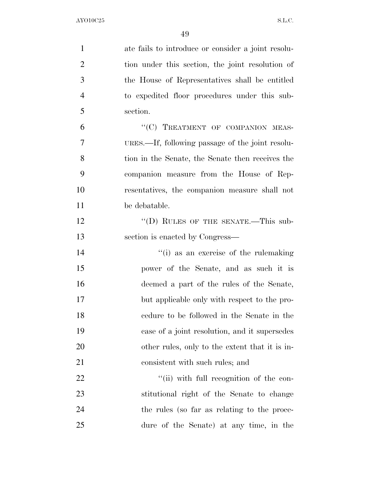| $\mathbf{1}$   | ate fails to introduce or consider a joint resolu- |
|----------------|----------------------------------------------------|
| $\overline{2}$ | tion under this section, the joint resolution of   |
| 3              | the House of Representatives shall be entitled     |
| $\overline{4}$ | to expedited floor procedures under this sub-      |
| 5              | section.                                           |
| 6              | "(C) TREATMENT OF COMPANION MEAS-                  |
| 7              | URES.—If, following passage of the joint resolu-   |
| 8              | tion in the Senate, the Senate then receives the   |
| 9              | companion measure from the House of Rep-           |
| 10             | resentatives, the companion measure shall not      |
| 11             | be debatable.                                      |
| 12             | "(D) RULES OF THE SENATE.—This sub-                |
| 13             | section is enacted by Congress—                    |
| 14             | "(i) as an exercise of the rulemaking              |
| 15             | power of the Senate, and as such it is             |
| 16             | deemed a part of the rules of the Senate,          |
| 17             | but applicable only with respect to the pro-       |
| 18             | cedure to be followed in the Senate in the         |
| 19             | case of a joint resolution, and it supersedes      |
| 20             | other rules, only to the extent that it is in-     |
| 21             | consistent with such rules; and                    |
| 22             | "(ii) with full recognition of the con-            |
| 23             | stitutional right of the Senate to change          |
| 24             | the rules (so far as relating to the proce-        |
| 25             | dure of the Senate) at any time, in the            |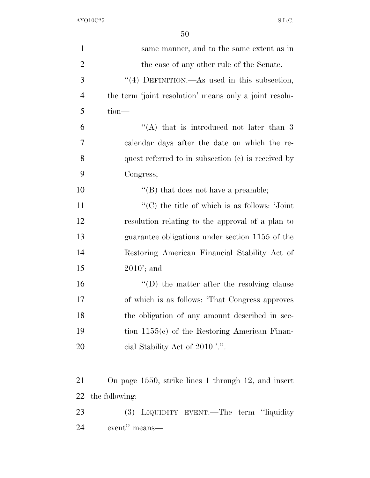| $\mathbf{1}$   | same manner, and to the same extent as in                   |
|----------------|-------------------------------------------------------------|
| $\overline{2}$ | the case of any other rule of the Senate.                   |
| 3              | "(4) DEFINITION.—As used in this subsection,                |
| $\overline{4}$ | the term 'joint resolution' means only a joint resolu-      |
| 5              | tion-                                                       |
| 6              | "(A) that is introduced not later than $3$                  |
| 7              | calendar days after the date on which the re-               |
| 8              | quest referred to in subsection $(c)$ is received by        |
| 9              | Congress;                                                   |
| 10             | $\lq\lq$ that does not have a preamble;                     |
| 11             | $\cdot$ (C) the title of which is as follows: $\cdot$ Joint |
| 12             | resolution relating to the approval of a plan to            |
| 13             | guarantee obligations under section 1155 of the             |
| 14             | Restoring American Financial Stability Act of               |
| 15             | $2010$ ; and                                                |
| 16             | $\lq\lq$ the matter after the resolving clause              |
| 17             | of which is as follows: 'That Congress approves             |
| 18             | the obligation of any amount described in sec-              |
| 19             | tion $1155(c)$ of the Restoring American Finan-             |
| 20             | eial Stability Act of 2010.'.".                             |
|                |                                                             |
| 21             | On page 1550, strike lines 1 through 12, and insert         |
| 22             | the following:                                              |
| 23             | (3) LIQUIDITY EVENT.—The term "liquidity                    |
| 24             | event" means—                                               |
|                |                                                             |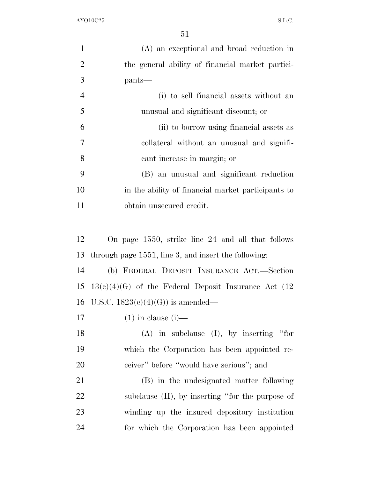| $\mathbf{1}$   | (A) an exceptional and broad reduction in               |
|----------------|---------------------------------------------------------|
| $\overline{2}$ | the general ability of financial market partici-        |
| 3              | pants—                                                  |
| $\overline{4}$ | (i) to sell financial assets without an                 |
| 5              | unusual and significant discount; or                    |
| 6              | (ii) to borrow using financial assets as                |
| $\overline{7}$ | collateral without an unusual and signifi-              |
| 8              | cant increase in margin; or                             |
| 9              | (B) an unusual and significant reduction                |
| 10             | in the ability of financial market participants to      |
| 11             | obtain unsecured credit.                                |
|                |                                                         |
| 12             | On page 1550, strike line 24 and all that follows       |
| 13             | through page $1551$ , line 3, and insert the following: |
| 14             | (b) FEDERAL DEPOSIT INSURANCE ACT.—Section              |
| 15             | $13(c)(4)(G)$ of the Federal Deposit Insurance Act (12) |
|                | 16 U.S.C. $1823(e)(4)(G)$ is amended—                   |
| 17             | $(1)$ in clause $(i)$ —                                 |
| 18             | $(A)$ in subclause $(I)$ , by inserting "for            |
| 19             | which the Corporation has been appointed re-            |
| 20             | ceiver" before "would have serious"; and                |
| 21             | (B) in the undesignated matter following                |
| 22             | subclause $(II)$ , by inserting "for the purpose of     |
| 23             | winding up the insured depository institution           |
| 24             | for which the Corporation has been appointed            |
|                |                                                         |